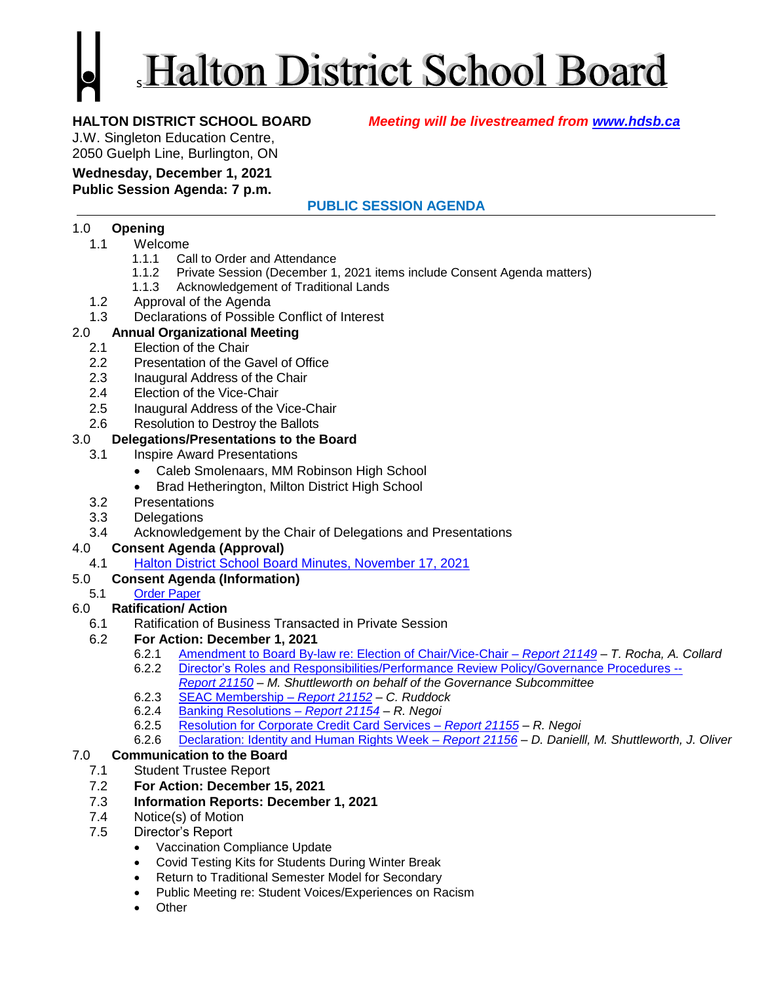# Halton District School Board

**HALTON DISTRICT SCHOOL BOARD** *Meeting will be livestreamed from [www.hdsb.ca](http://www.hdsb.ca/)*

J.W. Singleton Education Centre, 2050 Guelph Line, Burlington, ON

#### **Wednesday, December 1, 2021 Public Session Agenda: 7 p.m.**

# **PUBLIC SESSION AGENDA**

### 1.0 **Opening**

- 1.1 Welcome
	- 1.1.1 Call to Order and Attendance
	- 1.1.2 Private Session (December 1, 2021 items include Consent Agenda matters)
	- 1.1.3 Acknowledgement of Traditional Lands
- 1.2 Approval of the Agenda
- 1.3 Declarations of Possible Conflict of Interest

# 2.0 **Annual Organizational Meeting**

- 2.1 Election of the Chair
- 2.2 Presentation of the Gavel of Office
- 2.3 Inaugural Address of the Chair
- 2.4 Election of the Vice-Chair
- 2.5 Inaugural Address of the Vice-Chair
- 2.6 Resolution to Destroy the Ballots

### 3.0 **Delegations/Presentations to the Board**

- 3.1 Inspire Award Presentations
	- Caleb Smolenaars, MM Robinson High School
	- Brad Hetherington, Milton District High School
- 3.2 Presentations
- 3.3 Delegations
- 3.4 Acknowledgement by the Chair of Delegations and Presentations

#### 4.0 **Consent Agenda (Approval)**

4.1 [Halton District School Board Minutes, November 17, 2021](https://drive.google.com/file/d/1mwrC4gFZn7p-YrcuF1yJtLSP1O68KEJ-/view?usp=sharing)

# 5.0 **Consent Agenda (Information)**

5.1 [Order Paper](https://drive.google.com/file/d/1CZM8U41CIQsvHe0dnEMOZzGDNluvjESD/view?usp=sharing)

# 6.0 **Ratification/ Action**

- 6.1 Ratification of Business Transacted in Private Session
- 6.2 **For Action: December 1, 2021**
	- 6.2.1 [Amendment to Board By-law re: Election](https://drive.google.com/file/d/1gTQqUdbZDp4a-6It7OAaqLTtqS3P61D_/view?usp=sharing) of Chair/Vice-Chair *Report 21149 – T. Rocha, A. Collard*
	- 6.2.2 Director's [Roles and Responsibilities/Performance Review Policy/Governance Procedures](https://drive.google.com/file/d/1FzrMPa8Zqt_9MWG_I5EwmG_-1mhwM1kR/view?usp=sharing) --
	- *[Report 21150](https://drive.google.com/file/d/1FzrMPa8Zqt_9MWG_I5EwmG_-1mhwM1kR/view?usp=sharing) M. Shuttleworth on behalf of the Governance Subcommittee* 6.2.3 SEAC Membership – *[Report 21152](https://drive.google.com/file/d/1sZz5Cm4CxxmRNgAX7JResx6LCSLZrkAg/view?usp=sharing) – C. Ruddock*
	- 6.2.4 [Banking Resolutions –](https://drive.google.com/file/d/1G3Wz1hASNWrtWYk_8sFHWFcGF_VBEZhz/view?usp=sharing) *Report 21154 – R. Negoi*
	- 6.2.5 [Resolution for Corporate Credit Card Services](https://drive.google.com/file/d/1Clzl11X1uw6K69Gp6gDLffFgsR-2BpdS/view?usp=sharing) *Report 21155 – R. Negoi*
	- 6.2.6 [Declaration: Identity and Human Rights Week](https://drive.google.com/file/d/1E_sJ2cahcqKNV-9lgLnxJtVXxUKyAjZf/view?usp=sharing) *– Report 21156 – D. Danielll, M. Shuttleworth, J. Oliver*

#### 7.0 **Communication to the Board**

- 7.1 Student Trustee Report
- 7.2 **For Action: December 15, 2021**
- 7.3 **Information Reports: December 1, 2021**
- 7.4 Notice(s) of Motion
- 7.5 Director's Report
	- Vaccination Compliance Update
	- Covid Testing Kits for Students During Winter Break
	- Return to Traditional Semester Model for Secondary
	- Public Meeting re: Student Voices/Experiences on Racism
	- Other